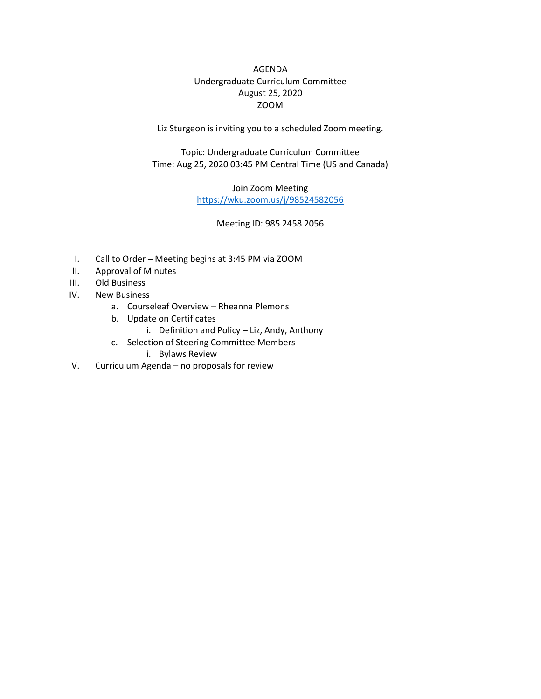AGENDA Undergraduate Curriculum Committee August 25, 2020 ZOOM

Liz Sturgeon is inviting you to a scheduled Zoom meeting.

Topic: Undergraduate Curriculum Committee Time: Aug 25, 2020 03:45 PM Central Time (US and Canada)

> Join Zoom Meeting <https://wku.zoom.us/j/98524582056>

> > Meeting ID: 985 2458 2056

- I. Call to Order Meeting begins at 3:45 PM via ZOOM
- II. Approval of Minutes
- III. Old Business
- IV. New Business
	- a. Courseleaf Overview Rheanna Plemons
	- b. Update on Certificates
		- i. Definition and Policy Liz, Andy, Anthony
	- c. Selection of Steering Committee Members
		- i. Bylaws Review
- V. Curriculum Agenda no proposals for review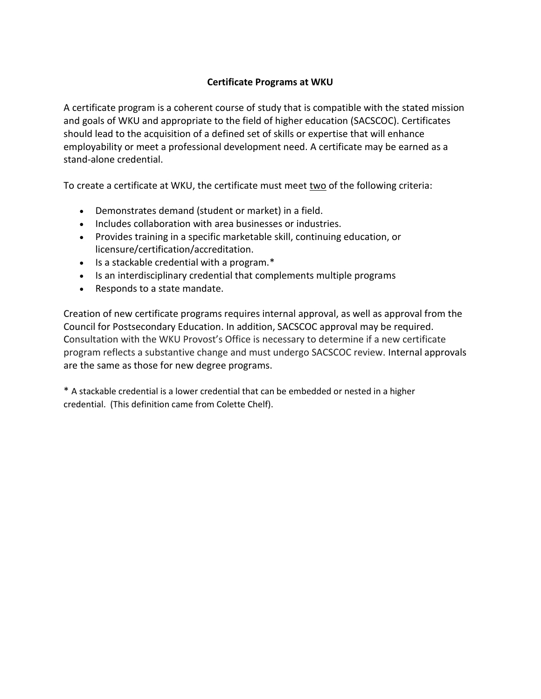## **Certificate Programs at WKU**

A certificate program is a coherent course of study that is compatible with the stated mission and goals of WKU and appropriate to the field of higher education (SACSCOC). Certificates should lead to the acquisition of a defined set of skills or expertise that will enhance employability or meet a professional development need. A certificate may be earned as a stand-alone credential.

To create a certificate at WKU, the certificate must meet two of the following criteria:

- Demonstrates demand (student or market) in a field.
- Includes collaboration with area businesses or industries.
- Provides training in a specific marketable skill, continuing education, or licensure/certification/accreditation.
- $\bullet$  Is a stackable credential with a program.\*
- Is an interdisciplinary credential that complements multiple programs
- Responds to a state mandate.

Creation of new certificate programs requires internal approval, as well as approval from the Council for Postsecondary Education. In addition, SACSCOC approval may be required. Consultation with the WKU Provost's Office is necessary to determine if a new certificate program reflects a substantive change and must undergo SACSCOC review. Internal approvals are the same as those for new degree programs.

\* A stackable credential is a lower credential that can be embedded or nested in a higher credential. (This definition came from Colette Chelf).